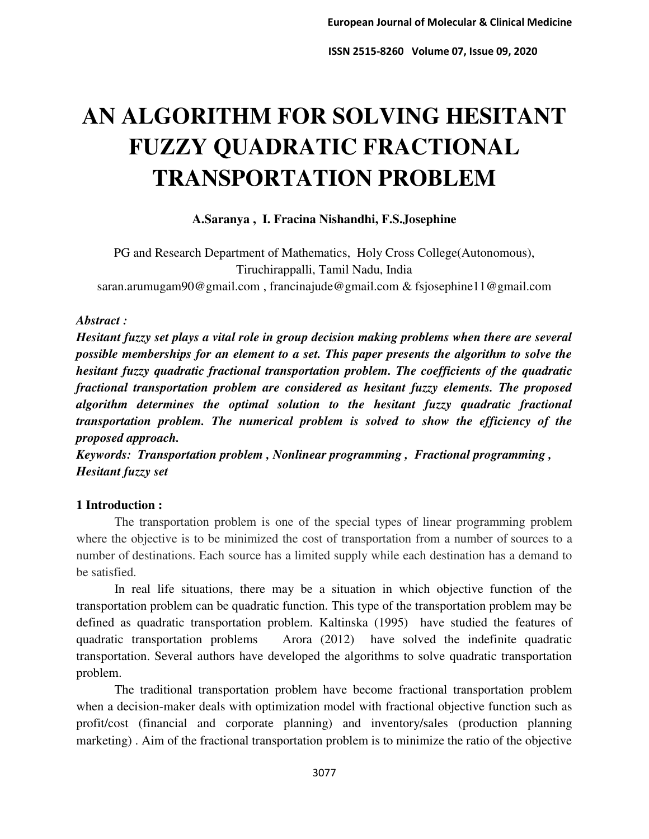# **AN ALGORITHM FOR SOLVING HESITANT FUZZY QUADRATIC FRACTIONAL TRANSPORTATION PROBLEM**

**A.Saranya , I. Fracina Nishandhi, F.S.Josephine** 

PG and Research Department of Mathematics, Holy Cross College(Autonomous), Tiruchirappalli, Tamil Nadu, India [saran.arumugam90@gmail.com](mailto:saran.arumugam90@gmail.com) , [francinajude@gmail.com](mailto:francinajude@gmail.com) [& fsjosephine11@gmail.com](mailto:&%20fsjosephine11@gmail.com)

## *Abstract :*

*Hesitant fuzzy set plays a vital role in group decision making problems when there are several possible memberships for an element to a set. This paper presents the algorithm to solve the hesitant fuzzy quadratic fractional transportation problem. The coefficients of the quadratic fractional transportation problem are considered as hesitant fuzzy elements. The proposed algorithm determines the optimal solution to the hesitant fuzzy quadratic fractional transportation problem. The numerical problem is solved to show the efficiency of the proposed approach.* 

*Keywords: Transportation problem , Nonlinear programming , Fractional programming , Hesitant fuzzy set* 

# **1 Introduction :**

The transportation problem is one of the special types of linear programming problem where the objective is to be minimized the cost of transportation from a number of sources to a number of destinations. Each source has a limited supply while each destination has a demand to be satisfied.

In real life situations, there may be a situation in which objective function of the transportation problem can be quadratic function. This type of the transportation problem may be defined as quadratic transportation problem. Kaltinska (1995) have studied the features of quadratic transportation problems Arora (2012) have solved the indefinite quadratic transportation. Several authors have developed the algorithms to solve quadratic transportation problem.

The traditional transportation problem have become fractional transportation problem when a decision-maker deals with optimization model with fractional objective function such as profit/cost (financial and corporate planning) and inventory/sales (production planning marketing) . Aim of the fractional transportation problem is to minimize the ratio of the objective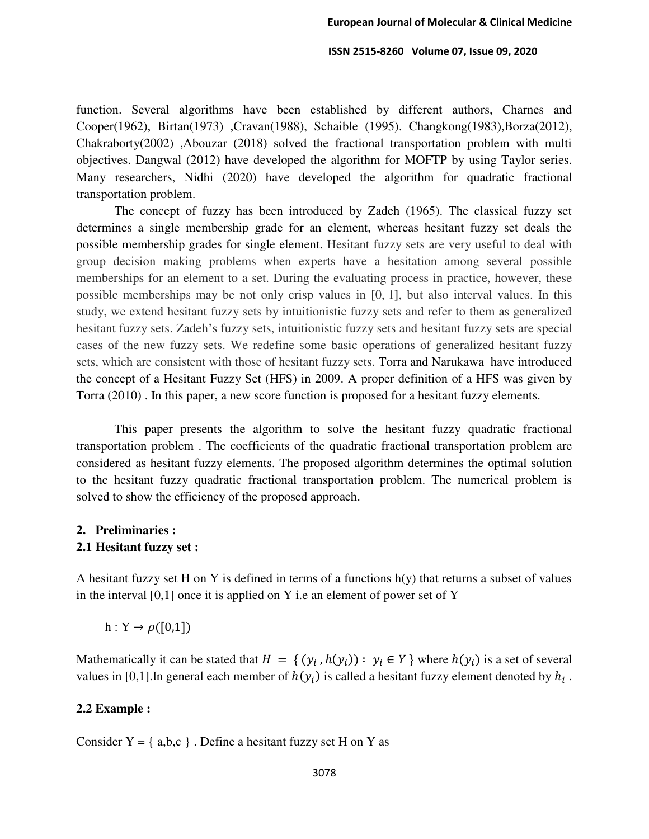function. Several algorithms have been established by different authors, Charnes and Cooper(1962), Birtan(1973) ,Cravan(1988), Schaible (1995). Changkong(1983),Borza(2012), Chakraborty(2002) ,Abouzar (2018) solved the fractional transportation problem with multi objectives. Dangwal (2012) have developed the algorithm for MOFTP by using Taylor series. Many researchers, Nidhi (2020) have developed the algorithm for quadratic fractional transportation problem.

The concept of fuzzy has been introduced by Zadeh (1965). The classical fuzzy set determines a single membership grade for an element, whereas hesitant fuzzy set deals the possible membership grades for single element. Hesitant fuzzy sets are very useful to deal with group decision making problems when experts have a hesitation among several possible memberships for an element to a set. During the evaluating process in practice, however, these possible memberships may be not only crisp values in [0, 1], but also interval values. In this study, we extend hesitant fuzzy sets by intuitionistic fuzzy sets and refer to them as generalized hesitant fuzzy sets. Zadeh's fuzzy sets, intuitionistic fuzzy sets and hesitant fuzzy sets are special cases of the new fuzzy sets. We redefine some basic operations of generalized hesitant fuzzy sets, which are consistent with those of hesitant fuzzy sets. Torra and Narukawa have introduced the concept of a Hesitant Fuzzy Set (HFS) in 2009. A proper definition of a HFS was given by Torra (2010) . In this paper, a new score function is proposed for a hesitant fuzzy elements.

This paper presents the algorithm to solve the hesitant fuzzy quadratic fractional transportation problem . The coefficients of the quadratic fractional transportation problem are considered as hesitant fuzzy elements. The proposed algorithm determines the optimal solution to the hesitant fuzzy quadratic fractional transportation problem. The numerical problem is solved to show the efficiency of the proposed approach.

# **2. Preliminaries : 2.1 Hesitant fuzzy set :**

A hesitant fuzzy set H on Y is defined in terms of a functions  $h(y)$  that returns a subset of values in the interval  $[0,1]$  once it is applied on Y i.e an element of power set of Y

 $h: Y \to \rho([0,1])$ 

Mathematically it can be stated that  $H = \{ (y_i, h(y_i)) : y_i \in Y \}$  where  $h(y_i)$  is a set of several values in [0,1]. In general each member of  $h(y_i)$  is called a hesitant fuzzy element denoted by  $h_i$ .

#### **2.2 Example :**

Consider  $Y = \{ a,b,c \}$ . Define a hesitant fuzzy set H on Y as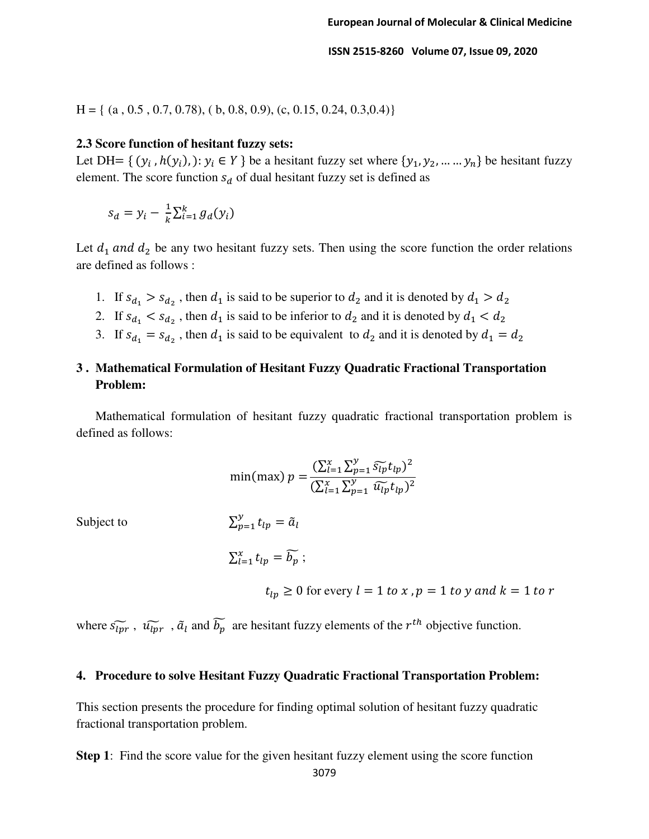$H = \{ (a, 0.5, 0.7, 0.78), (b, 0.8, 0.9), (c, 0.15, 0.24, 0.3, 0.4) \}$ 

#### **2.3 Score function of hesitant fuzzy sets:**

Let DH= {  $(y_i, h(y_i), )$ :  $y_i \in Y$  } be a hesitant fuzzy set where  $\{y_1, y_2, ..., y_n\}$  be hesitant fuzzy element. The score function  $s_d$  of dual hesitant fuzzy set is defined as

$$
s_d = y_i - \frac{1}{k} \sum_{i=1}^k g_d(y_i)
$$

Let  $d_1$  and  $d_2$  be any two hesitant fuzzy sets. Then using the score function the order relations are defined as follows :

- 1. If  $s_{d_1} > s_{d_2}$ , then  $d_1$  is said to be superior to  $d_2$  and it is denoted by  $d_1 > d_2$
- 2. If  $s_{d_1} < s_{d_2}$ , then  $d_1$  is said to be inferior to  $d_2$  and it is denoted by  $d_1 < d_2$
- 3. If  $s_{d_1} = s_{d_2}$ , then  $d_1$  is said to be equivalent to  $d_2$  and it is denoted by  $d_1 = d_2$

# **3 . Mathematical Formulation of Hesitant Fuzzy Quadratic Fractional Transportation Problem:**

Mathematical formulation of hesitant fuzzy quadratic fractional transportation problem is defined as follows:

$$
\min(\max) \ p = \frac{(\sum_{l=1}^{x} \sum_{p=1}^{y} \widetilde{s_{lp}} t_{lp})^2}{(\sum_{l=1}^{x} \sum_{p=1}^{y} \widetilde{u_{lp}} t_{lp})^2}
$$

Subject to  $\sum$ 

Subject to 
$$
\sum_{p=1}^{y} t_{lp} = \tilde{a}_l
$$

$$
\sum_{l=1}^{x} t_{lp} = \widetilde{b_p} ;
$$

 $t_{ln} \ge 0$  for every  $l = 1$  to x,  $p = 1$  to y and  $k = 1$  to r

where  $\tilde{s_{lpr}}$ ,  $\tilde{u_{lpr}}$ ,  $\tilde{a}_l$  and  $b_p$  are hesitant fuzzy elements of the  $r^{th}$  objective function.

#### **4. Procedure to solve Hesitant Fuzzy Quadratic Fractional Transportation Problem:**

This section presents the procedure for finding optimal solution of hesitant fuzzy quadratic fractional transportation problem.

**Step 1**: Find the score value for the given hesitant fuzzy element using the score function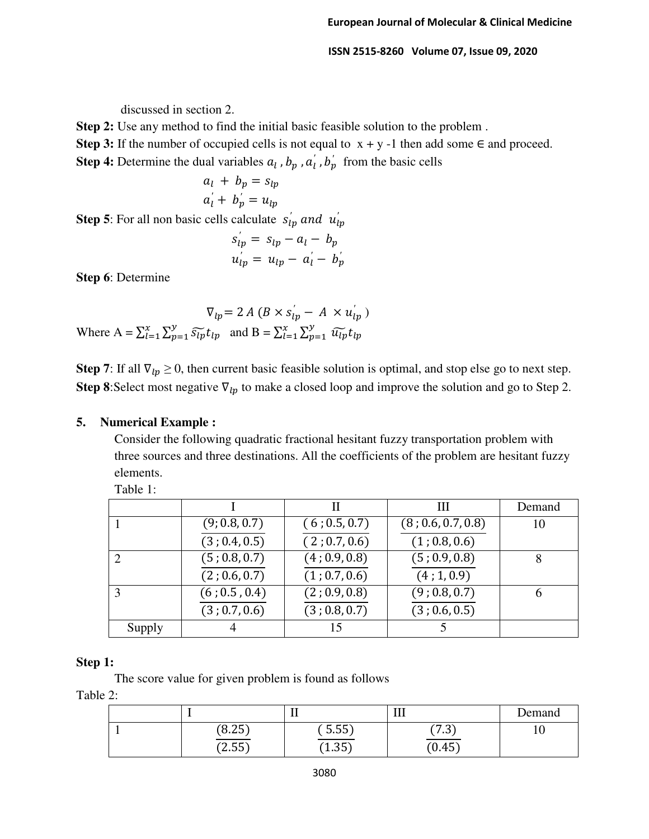discussed in section 2.

**Step 2:** Use any method to find the initial basic feasible solution to the problem .

**Step 3:** If the number of occupied cells is not equal to  $x + y - 1$  then add some  $\in$  and proceed.

**Step 4:** Determine the dual variables  $a_l$ ,  $b_p$ ,  $a'_l$ ,  $b'_p$  from the basic cells

$$
a_l + b_p = s_{lp}
$$

$$
a_l + b_p' = u_{lp}
$$

**Step 5**: For all non basic cells calculate  $s'_{ip}$  and  $u'_{ip}$ 

$$
s'_{ip} = s_{lp} - a_l - b_p
$$
  

$$
u'_{ip} = u_{lp} - a'_l - b'_p
$$

**Step 6**: Determine

$$
\nabla_{lp} = 2 \, A \left( B \times s_{lp} - A \times u_{lp}^{'} \right)
$$
\nWhere  $A = \sum_{l=1}^{x} \sum_{p=1}^{y} \widetilde{s_{lp}} t_{lp}$  and  $B = \sum_{l=1}^{x} \sum_{p=1}^{y} \widetilde{u_{lp}} t_{lp}$ 

**Step 7**: If all  $\nabla_{lp} \ge 0$ , then current basic feasible solution is optimal, and stop else go to next step. **Step 8**: Select most negative  $\nabla_{lp}$  to make a closed loop and improve the solution and go to Step 2.

# **5. Numerical Example :**

Consider the following quadratic fractional hesitant fuzzy transportation problem with three sources and three destinations. All the coefficients of the problem are hesitant fuzzy elements.

Table 1:

|        |               | П             | Ш                  | Demand |
|--------|---------------|---------------|--------------------|--------|
|        | (9; 0.8, 0.7) | (6; 0.5, 0.7) | (8; 0.6, 0.7, 0.8) | 10     |
|        | (3; 0.4, 0.5) | (2; 0.7, 0.6) | (1; 0.8, 0.6)      |        |
|        | (5; 0.8, 0.7) | (4; 0.9, 0.8) | (5; 0.9, 0.8)      |        |
|        | (2; 0.6, 0.7) | (1; 0.7, 0.6) | (4; 1, 0.9)        |        |
|        | (6; 0.5, 0.4) | (2; 0.9, 0.8) | (9; 0.8, 0.7)      | 6      |
|        | (3; 0.7, 0.6) | (3; 0.8, 0.7) | (3; 0.6, 0.5)      |        |
| Supply |               | 15            |                    |        |

# **Step 1:**

The score value for given problem is found as follows

Table 2:

|                   | щ,             | --<br>***        | Demand |
|-------------------|----------------|------------------|--------|
| 25)<br>0°<br>0.45 | F F T<br>5.55  | . n*<br>∼ —<br>. | ΙV     |
| (2.55)            | $1.35^{\circ}$ | (0.45)           |        |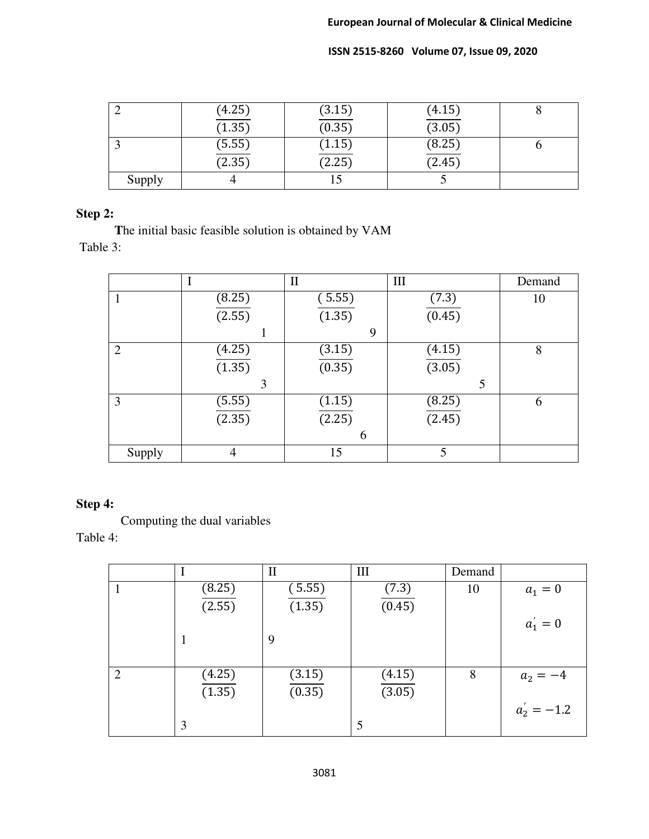|        | (4.25) | (3.15) | (4.15) |  |
|--------|--------|--------|--------|--|
|        | (1.35) | (0.35) | (3.05) |  |
|        | (5.55) | (1.15) | (8.25) |  |
|        | (2.35) | (2.25) | (2.45) |  |
| Supply |        |        |        |  |

# **Step 2:**

 **T**he initial basic feasible solution is obtained by VAM Table 3:

|        |        | $\mathbf{I}$ | III    | Demand |
|--------|--------|--------------|--------|--------|
|        | (8.25) | (5.55)       | (7.3)  | 10     |
|        | (2.55) | (1.35)       | (0.45) |        |
|        |        | 9            |        |        |
| 2      | (4.25) | (3.15)       | (4.15) | 8      |
|        | (1.35) | (0.35)       | (3.05) |        |
|        | 3      |              | 5      |        |
| 3      | (5.55) | (1.15)       | (8.25) | 6      |
|        | (2.35) | (2.25)       | (2.45) |        |
|        |        | 6            |        |        |
| Supply | 4      | 15           | 5      |        |

# **Step 4:**

Computing the dual variables

Table 4:

|                |        | $\mathbf{I}$ | III    | Demand |               |
|----------------|--------|--------------|--------|--------|---------------|
|                | (8.25) | (5.55)       | (7.3)  | 10     | $a_1=0$       |
|                | (2.55) | (1.35)       | (0.45) |        |               |
|                |        |              |        |        | $a'_1 = 0$    |
|                |        | 9            |        |        |               |
|                |        |              |        |        |               |
| $\overline{2}$ | (4.25) | (3.15)       | (4.15) | 8      | $a_2 = -4$    |
|                | (1.35) | (0.35)       | (3.05) |        |               |
|                |        |              |        |        | $a_2' = -1.2$ |
|                | 3      |              |        |        |               |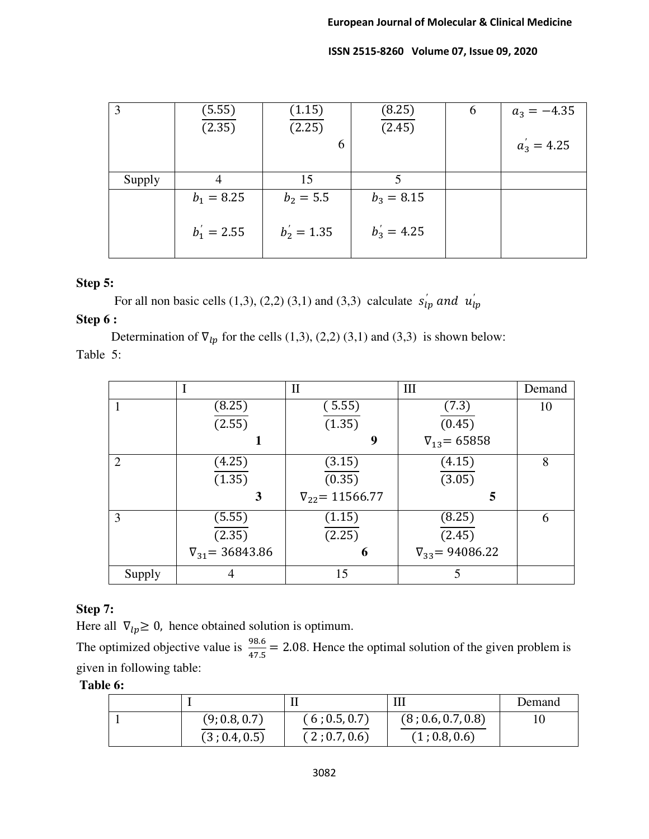| 3      | (5.55)<br>(2.35) | (1.15)<br>(2.25) | (8.25)<br>(2.45)      | $\mathbf b$ | $a_3 = -4.35$ |
|--------|------------------|------------------|-----------------------|-------------|---------------|
|        |                  | 6                |                       |             | $a'_3 = 4.25$ |
| Supply |                  | 15               |                       |             |               |
|        | $b_1 = 8.25$     | $b_2 = 5.5$      | $b_3 = 8.15$          |             |               |
|        | $b'_1 = 2.55$    | $b'_2 = 1.35$    | $b_3^{\prime} = 4.25$ |             |               |

# **Step 5:**

For all non basic cells (1,3), (2,2) (3,1) and (3,3) calculate  $s'_{ip}$  and  $u'_{ip}$ 

## **Step 6 :**

Determination of  $\nabla_{lp}$  for the cells (1,3), (2,2) (3,1) and (3,3) is shown below: Table 5:

|        |                          | $\mathbf{I}$             | III                      | Demand |
|--------|--------------------------|--------------------------|--------------------------|--------|
|        | (8.25)                   | (5.55)                   | (7.3)                    | 10     |
|        | (2.55)                   | (1.35)                   | (0.45)                   |        |
|        |                          | 9                        | $\nabla_{13} = 65858$    |        |
| 2      | (4.25)                   | (3.15)                   | (4.15)                   | 8      |
|        | (1.35)                   | (0.35)                   | (3.05)                   |        |
|        | 3                        | $\nabla_{22} = 11566.77$ | 5                        |        |
| 3      | (5.55)                   | (1.15)                   | (8.25)                   | 6      |
|        | (2.35)                   | (2.25)                   | (2.45)                   |        |
|        | $\nabla_{31} = 36843.86$ | 6                        | $\nabla_{33} = 94086.22$ |        |
| Supply |                          | 15                       | 5                        |        |

# **Step 7:**

Here all  $\nabla_{lp} \geq 0$ , hence obtained solution is optimum.

The optimized objective value is  $\frac{98.6}{47.5}$  = 2.08. Hence the optimal solution of the given problem is given in following table:

# **Table 6:**

|               |               | Ш                  | Demand |
|---------------|---------------|--------------------|--------|
| (9; 0.8, 0.7) | (6; 0.5, 0.7) | (8; 0.6, 0.7, 0.8) |        |
| (3; 0.4, 0.5) | (2; 0.7, 0.6) | (1; 0.8, 0.6)      |        |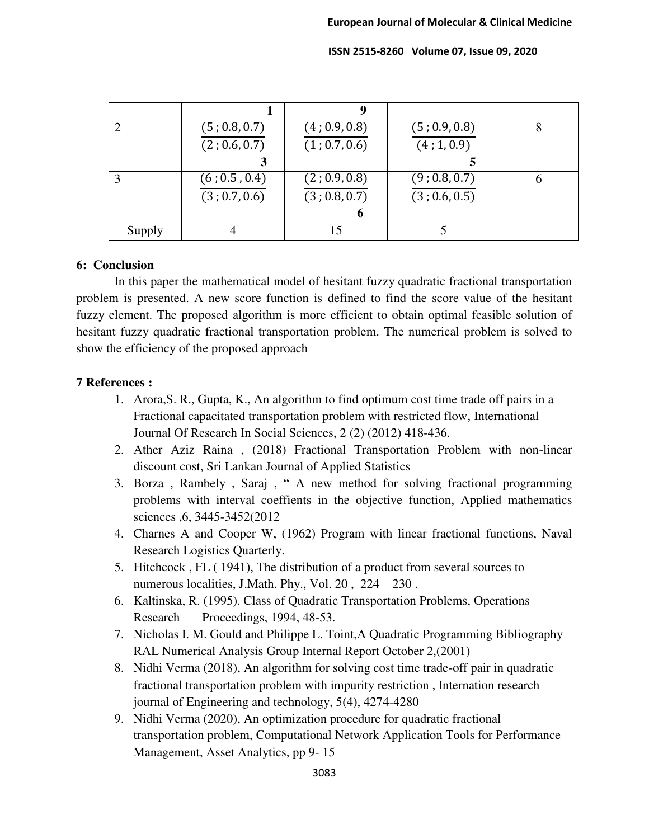|        |               | 9             |               |  |
|--------|---------------|---------------|---------------|--|
|        | (5; 0.8, 0.7) | (4; 0.9, 0.8) | (5; 0.9, 0.8) |  |
|        | (2; 0.6, 0.7) | (1; 0.7, 0.6) | (4; 1, 0.9)   |  |
|        |               |               |               |  |
|        | (6; 0.5, 0.4) | (2; 0.9, 0.8) | (9; 0.8, 0.7) |  |
|        | (3; 0.7, 0.6) | (3; 0.8, 0.7) | (3; 0.6, 0.5) |  |
|        |               | O             |               |  |
| Supply |               | 15            |               |  |

#### **6: Conclusion**

In this paper the mathematical model of hesitant fuzzy quadratic fractional transportation problem is presented. A new score function is defined to find the score value of the hesitant fuzzy element. The proposed algorithm is more efficient to obtain optimal feasible solution of hesitant fuzzy quadratic fractional transportation problem. The numerical problem is solved to show the efficiency of the proposed approach

## **7 References :**

- 1. Arora,S. R., Gupta, K., An algorithm to find optimum cost time trade off pairs in a Fractional capacitated transportation problem with restricted flow, International Journal Of Research In Social Sciences, 2 (2) (2012) 418-436.
- 2. Ather Aziz Raina , (2018) Fractional Transportation Problem with non-linear discount cost, Sri Lankan Journal of Applied Statistics
- 3. Borza , Rambely , Saraj , " A new method for solving fractional programming problems with interval coeffients in the objective function, Applied mathematics sciences ,6, 3445-3452(2012
- 4. Charnes A and Cooper W, (1962) Program with linear fractional functions, Naval Research Logistics Quarterly.
- 5. Hitchcock , FL ( 1941), The distribution of a product from several sources to numerous localities, J.Math. Phy., Vol. 20, 224 – 230.
- 6. Kaltinska, R. (1995). Class of Quadratic Transportation Problems, Operations Research Proceedings, 1994, 48-53.
- 7. Nicholas I. M. Gould and Philippe L. Toint,A Quadratic Programming Bibliography RAL Numerical Analysis Group Internal Report October 2,(2001)
- 8. Nidhi Verma (2018), An algorithm for solving cost time trade-off pair in quadratic fractional transportation problem with impurity restriction , Internation research journal of Engineering and technology, 5(4), 4274-4280
- 9. Nidhi Verma (2020), An optimization procedure for quadratic fractional transportation problem, Computational Network Application Tools for Performance Management, Asset Analytics, pp 9- 15